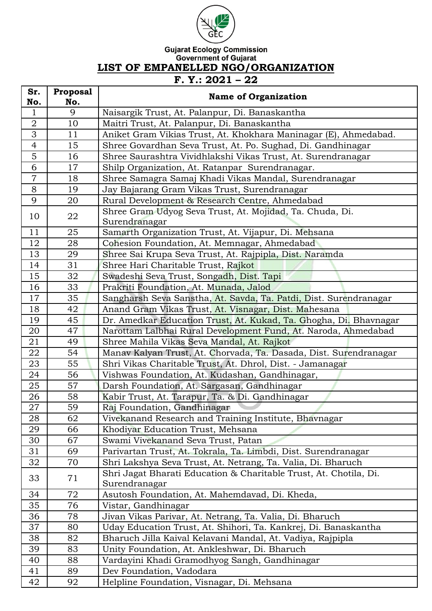

## Gujarat Ecology Commission<br>Government of Gujarat<br>LIST OF EMPANELLED NGO/ORGANIZATION **F. Y.: 2021 – 22**

| Sr.            | <b>Proposal</b> |                                                                   |
|----------------|-----------------|-------------------------------------------------------------------|
| No.            | No.             | <b>Name of Organization</b>                                       |
| $\mathbf 1$    | 9               | Naisargik Trust, At. Palanpur, Di. Banaskantha                    |
| $\overline{2}$ | 10              | Maitri Trust, At. Palanpur, Di. Banaskantha                       |
| $\overline{3}$ | 11              | Aniket Gram Vikias Trust, At. Khokhara Maninagar (E), Ahmedabad.  |
| $\overline{4}$ | 15              | Shree Govardhan Seva Trust, At. Po. Sughad, Di. Gandhinagar       |
| $\overline{5}$ | 16              | Shree Saurashtra Vividhlakshi Vikas Trust, At. Surendranagar      |
| 6              | 17              | Shilp Organization, At. Ratanpar Surendranagar.                   |
| $\overline{7}$ | 18              | Shree Samagra Samaj Khadi Vikas Mandal, Surendranagar             |
| 8              | 19              | Jay Bajarang Gram Vikas Trust, Surendranagar                      |
| 9              | 20              | Rural Development & Research Centre, Ahmedabad                    |
| 10             | 22              | Shree Gram Udyog Seva Trust, At. Mojidad, Ta. Chuda, Di.          |
|                |                 | Surendranagar                                                     |
| 11             | 25              | Samarth Organization Trust, At. Vijapur, Di. Mehsana              |
| 12             | 28              | Cohesion Foundation, At. Memnagar, Ahmedabad                      |
| 13             | 29              | Shree Sai Krupa Seva Trust, At. Rajpipla, Dist. Naramda           |
| 14             | 31              | Shree Hari Charitable Trust, Rajkot                               |
| 15             | 32              | Swadeshi Seva Trust, Songadh, Dist. Tapi                          |
| 16             | 33              | Prakriti Foundation, At. Munada, Jalod                            |
| 17             | 35              | Sangharsh Seva Sanstha, At. Savda, Ta. Patdi, Dist. Surendranagar |
| 18             | 42              | Anand Gram Vikas Trust, At. Visnagar, Dist. Mahesana              |
| 19             | 45              | Dr. Amedkar Education Trust, At. Kukad, Ta. Ghogha, Di. Bhavnagar |
| 20             | 47              | Narottam Lalbhai Rural Development Fund, At. Naroda, Ahmedabad    |
| 21             | 49              | Shree Mahila Vikas Seva Mandal, At. Rajkot                        |
| 22             | 54              | Manav Kalyan Trust, At. Chorvada, Ta. Dasada, Dist. Surendranagar |
| 23             | 55              | Shri Vikas Charitable Trust, At. Dhrol, Dist. - Jamanagar         |
| 24             | 56              | Vishwas Foundation, At. Kudashan, Gandhinagar,                    |
| 25             | 57              | Darsh Foundation, At. Sargasan, Gandhinagar                       |
| 26             | 58              | Kabir Trust, At. Tarapur, Ta. & Di. Gandhinagar                   |
| 27             | 59              | Raj Foundation, Gandhinagar                                       |
| 28             | 62              | Vivekanand Research and Training Institute, Bhavnagar             |
| 29             | 66              | Khodiyar Education Trust, Mehsana                                 |
| 30             | 67              | Swami Vivekanand Seva Trust, Patan                                |
| 31             | 69              | Parivartan Trust, At. Tokrala, Ta. Limbdi, Dist. Surendranagar    |
| 32             | 70              | Shri Lakshya Seva Trust, At. Netrang, Ta. Valia, Di. Bharuch      |
| 33             | 71              | Shri Jagat Bharati Education & Charitable Trust, At. Chotila, Di. |
|                |                 | Surendranagar                                                     |
| 34             | 72              | Asutosh Foundation, At. Mahemdavad, Di. Kheda,                    |
| 35             | 76              | Vistar, Gandhinagar                                               |
| 36             | 78              | Jivan Vikas Parivar, At. Netrang, Ta. Valia, Di. Bharuch          |
| 37             | 80              | Uday Education Trust, At. Shihori, Ta. Kankrej, Di. Banaskantha   |
| 38             | 82              | Bharuch Jilla Kaival Kelavani Mandal, At. Vadiya, Rajpipla        |
| 39             | 83              | Unity Foundation, At. Ankleshwar, Di. Bharuch                     |
| 40             | 88              | Vardayini Khadi Gramodhyog Sangh, Gandhinagar                     |
| 41             | 89              | Dev Foundation, Vadodara                                          |
| 42             | 92              | Helpline Foundation, Visnagar, Di. Mehsana                        |